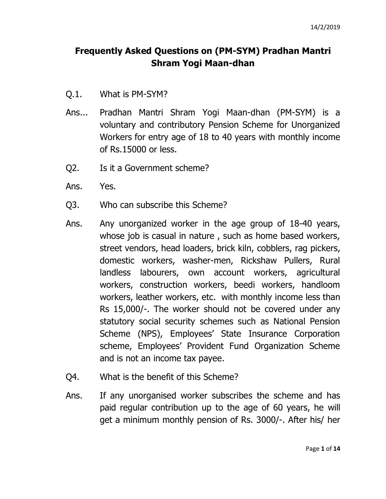## **Frequently Asked Questions on (PM-SYM) Pradhan Mantri Shram Yogi Maan-dhan**

- Q.1. What is PM-SYM?
- Ans... Pradhan Mantri Shram Yogi Maan-dhan (PM-SYM) is a voluntary and contributory Pension Scheme for Unorganized Workers for entry age of 18 to 40 years with monthly income of Rs.15000 or less.
- Q2. Is it a Government scheme?
- Ans. Yes.
- Q3. Who can subscribe this Scheme?
- Ans. Any unorganized worker in the age group of 18-40 years, whose job is casual in nature , such as home based workers, street vendors, head loaders, brick kiln, cobblers, rag pickers, domestic workers, washer-men, Rickshaw Pullers, Rural landless labourers, own account workers, agricultural workers, construction workers, beedi workers, handloom workers, leather workers, etc. with monthly income less than Rs 15,000/-. The worker should not be covered under any statutory social security schemes such as National Pension Scheme (NPS), Employees' State Insurance Corporation scheme, Employees' Provident Fund Organization Scheme and is not an income tax payee.
- Q4. What is the benefit of this Scheme?
- Ans. If any unorganised worker subscribes the scheme and has paid regular contribution up to the age of 60 years, he will get a minimum monthly pension of Rs. 3000/-. After his/ her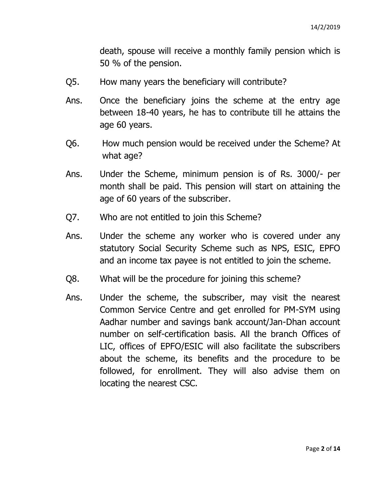death, spouse will receive a monthly family pension which is 50 % of the pension.

- Q5. How many years the beneficiary will contribute?
- Ans. Once the beneficiary joins the scheme at the entry age between 18-40 years, he has to contribute till he attains the age 60 years.
- Q6. How much pension would be received under the Scheme? At what age?
- Ans. Under the Scheme, minimum pension is of Rs. 3000/- per month shall be paid. This pension will start on attaining the age of 60 years of the subscriber.
- Q7. Who are not entitled to join this Scheme?
- Ans. Under the scheme any worker who is covered under any statutory Social Security Scheme such as NPS, ESIC, EPFO and an income tax payee is not entitled to join the scheme.
- Q8. What will be the procedure for joining this scheme?
- Ans. Under the scheme, the subscriber, may visit the nearest Common Service Centre and get enrolled for PM-SYM using Aadhar number and savings bank account/Jan-Dhan account number on self-certification basis. All the branch Offices of LIC, offices of EPFO/ESIC will also facilitate the subscribers about the scheme, its benefits and the procedure to be followed, for enrollment. They will also advise them on locating the nearest CSC.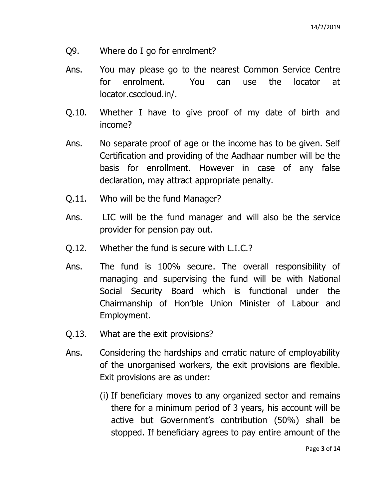- Q9. Where do I go for enrolment?
- Ans. You may please go to the nearest Common Service Centre for enrolment. You can use the locator at locator.csccloud.in/.
- Q.10. Whether I have to give proof of my date of birth and income?
- Ans. No separate proof of age or the income has to be given. Self Certification and providing of the Aadhaar number will be the basis for enrollment. However in case of any false declaration, may attract appropriate penalty.
- Q.11. Who will be the fund Manager?
- Ans. LIC will be the fund manager and will also be the service provider for pension pay out.
- Q.12. Whether the fund is secure with L.I.C.?
- Ans. The fund is 100% secure. The overall responsibility of managing and supervising the fund will be with National Social Security Board which is functional under the Chairmanship of Hon'ble Union Minister of Labour and Employment.
- Q.13. What are the exit provisions?
- Ans. Considering the hardships and erratic nature of employability of the unorganised workers, the exit provisions are flexible. Exit provisions are as under:
	- (i) If beneficiary moves to any organized sector and remains there for a minimum period of 3 years, his account will be active but Government's contribution (50%) shall be stopped. If beneficiary agrees to pay entire amount of the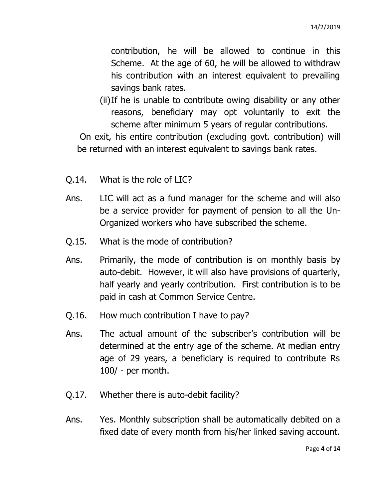contribution, he will be allowed to continue in this Scheme. At the age of 60, he will be allowed to withdraw his contribution with an interest equivalent to prevailing savings bank rates.

(ii)If he is unable to contribute owing disability or any other reasons, beneficiary may opt voluntarily to exit the scheme after minimum 5 years of regular contributions.

On exit, his entire contribution (excluding govt. contribution) will be returned with an interest equivalent to savings bank rates.

- Q.14. What is the role of LIC?
- Ans. LIC will act as a fund manager for the scheme and will also be a service provider for payment of pension to all the Un-Organized workers who have subscribed the scheme.
- Q.15. What is the mode of contribution?
- Ans. Primarily, the mode of contribution is on monthly basis by auto-debit. However, it will also have provisions of quarterly, half yearly and yearly contribution. First contribution is to be paid in cash at Common Service Centre.
- Q.16. How much contribution I have to pay?
- Ans. The actual amount of the subscriber's contribution will be determined at the entry age of the scheme. At median entry age of 29 years, a beneficiary is required to contribute Rs 100/ - per month.
- Q.17. Whether there is auto-debit facility?
- Ans. Yes. Monthly subscription shall be automatically debited on a fixed date of every month from his/her linked saving account.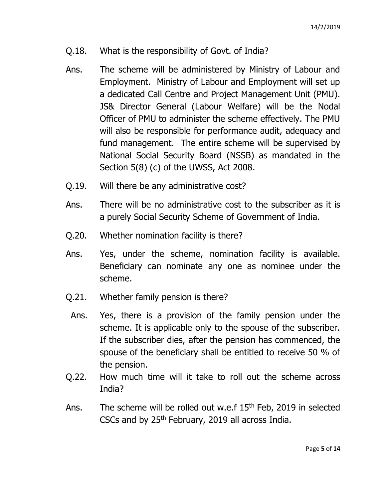- Q.18. What is the responsibility of Govt. of India?
- Ans. The scheme will be administered by Ministry of Labour and Employment. Ministry of Labour and Employment will set up a dedicated Call Centre and Project Management Unit (PMU). JS& Director General (Labour Welfare) will be the Nodal Officer of PMU to administer the scheme effectively. The PMU will also be responsible for performance audit, adequacy and fund management. The entire scheme will be supervised by National Social Security Board (NSSB) as mandated in the Section 5(8) (c) of the UWSS, Act 2008.
- Q.19. Will there be any administrative cost?
- Ans. There will be no administrative cost to the subscriber as it is a purely Social Security Scheme of Government of India.
- Q.20. Whether nomination facility is there?
- Ans. Yes, under the scheme, nomination facility is available. Beneficiary can nominate any one as nominee under the scheme.
- Q.21. Whether family pension is there?
- Ans. Yes, there is a provision of the family pension under the scheme. It is applicable only to the spouse of the subscriber. If the subscriber dies, after the pension has commenced, the spouse of the beneficiary shall be entitled to receive 50 % of the pension.
- Q.22. How much time will it take to roll out the scheme across India?
- Ans. The scheme will be rolled out w.e.f 15<sup>th</sup> Feb, 2019 in selected CSCs and by  $25<sup>th</sup>$  February, 2019 all across India.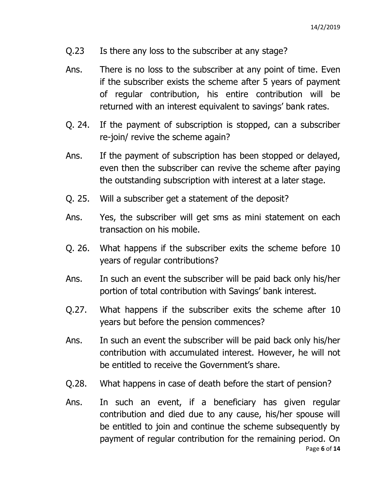- Q.23 Is there any loss to the subscriber at any stage?
- Ans. There is no loss to the subscriber at any point of time. Even if the subscriber exists the scheme after 5 years of payment of regular contribution, his entire contribution will be returned with an interest equivalent to savings' bank rates.
- Q. 24. If the payment of subscription is stopped, can a subscriber re-join/ revive the scheme again?
- Ans. If the payment of subscription has been stopped or delayed, even then the subscriber can revive the scheme after paying the outstanding subscription with interest at a later stage.
- Q. 25. Will a subscriber get a statement of the deposit?
- Ans. Yes, the subscriber will get sms as mini statement on each transaction on his mobile.
- Q. 26. What happens if the subscriber exits the scheme before 10 years of regular contributions?
- Ans. In such an event the subscriber will be paid back only his/her portion of total contribution with Savings' bank interest.
- Q.27. What happens if the subscriber exits the scheme after 10 years but before the pension commences?
- Ans. In such an event the subscriber will be paid back only his/her contribution with accumulated interest. However, he will not be entitled to receive the Government's share.
- Q.28. What happens in case of death before the start of pension?
- Page **6** of **14** Ans. In such an event, if a beneficiary has given regular contribution and died due to any cause, his/her spouse will be entitled to join and continue the scheme subsequently by payment of regular contribution for the remaining period. On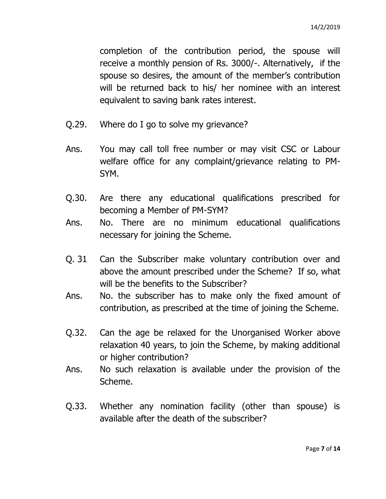completion of the contribution period, the spouse will receive a monthly pension of Rs. 3000/-. Alternatively, if the spouse so desires, the amount of the member's contribution will be returned back to his/ her nominee with an interest equivalent to saving bank rates interest.

- Q.29. Where do I go to solve my grievance?
- Ans. You may call toll free number or may visit CSC or Labour welfare office for any complaint/grievance relating to PM-SYM.
- Q.30. Are there any educational qualifications prescribed for becoming a Member of PM-SYM?
- Ans. No. There are no minimum educational qualifications necessary for joining the Scheme.
- Q. 31 Can the Subscriber make voluntary contribution over and above the amount prescribed under the Scheme? If so, what will be the benefits to the Subscriber?
- Ans. No. the subscriber has to make only the fixed amount of contribution, as prescribed at the time of joining the Scheme.
- Q.32. Can the age be relaxed for the Unorganised Worker above relaxation 40 years, to join the Scheme, by making additional or higher contribution?
- Ans. No such relaxation is available under the provision of the Scheme.
- Q.33. Whether any nomination facility (other than spouse) is available after the death of the subscriber?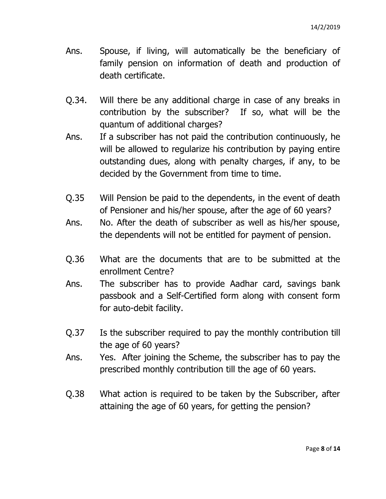- Ans. Spouse, if living, will automatically be the beneficiary of family pension on information of death and production of death certificate.
- Q.34. Will there be any additional charge in case of any breaks in contribution by the subscriber? If so, what will be the quantum of additional charges?
- Ans. If a subscriber has not paid the contribution continuously, he will be allowed to regularize his contribution by paying entire outstanding dues, along with penalty charges, if any, to be decided by the Government from time to time.
- Q.35 Will Pension be paid to the dependents, in the event of death of Pensioner and his/her spouse, after the age of 60 years?
- Ans. No. After the death of subscriber as well as his/her spouse, the dependents will not be entitled for payment of pension.
- Q.36 What are the documents that are to be submitted at the enrollment Centre?
- Ans. The subscriber has to provide Aadhar card, savings bank passbook and a Self-Certified form along with consent form for auto-debit facility.
- Q.37 Is the subscriber required to pay the monthly contribution till the age of 60 years?
- Ans. Yes. After joining the Scheme, the subscriber has to pay the prescribed monthly contribution till the age of 60 years.
- Q.38 What action is required to be taken by the Subscriber, after attaining the age of 60 years, for getting the pension?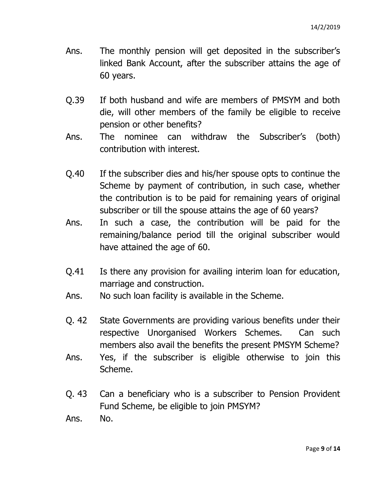- Ans. The monthly pension will get deposited in the subscriber's linked Bank Account, after the subscriber attains the age of 60 years.
- Q.39 If both husband and wife are members of PMSYM and both die, will other members of the family be eligible to receive pension or other benefits?
- Ans. The nominee can withdraw the Subscriber's (both) contribution with interest.
- Q.40 If the subscriber dies and his/her spouse opts to continue the Scheme by payment of contribution, in such case, whether the contribution is to be paid for remaining years of original subscriber or till the spouse attains the age of 60 years?
- Ans. In such a case, the contribution will be paid for the remaining/balance period till the original subscriber would have attained the age of 60.
- Q.41 Is there any provision for availing interim loan for education, marriage and construction.
- Ans. No such loan facility is available in the Scheme.
- Q. 42 State Governments are providing various benefits under their respective Unorganised Workers Schemes. Can such members also avail the benefits the present PMSYM Scheme?
- Ans. Yes, if the subscriber is eligible otherwise to join this Scheme.
- Q. 43 Can a beneficiary who is a subscriber to Pension Provident Fund Scheme, be eligible to join PMSYM?

Ans. No.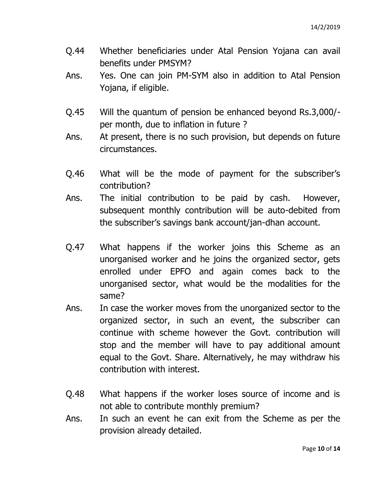- Q.44 Whether beneficiaries under Atal Pension Yojana can avail benefits under PMSYM?
- Ans. Yes. One can join PM-SYM also in addition to Atal Pension Yojana, if eligible.
- Q.45 Will the quantum of pension be enhanced beyond Rs.3,000/ per month, due to inflation in future ?
- Ans. At present, there is no such provision, but depends on future circumstances.
- Q.46 What will be the mode of payment for the subscriber's contribution?
- Ans. The initial contribution to be paid by cash. However, subsequent monthly contribution will be auto-debited from the subscriber's savings bank account/jan-dhan account.
- Q.47 What happens if the worker joins this Scheme as an unorganised worker and he joins the organized sector, gets enrolled under EPFO and again comes back to the unorganised sector, what would be the modalities for the same?
- Ans. In case the worker moves from the unorganized sector to the organized sector, in such an event, the subscriber can continue with scheme however the Govt. contribution will stop and the member will have to pay additional amount equal to the Govt. Share. Alternatively, he may withdraw his contribution with interest.
- Q.48 What happens if the worker loses source of income and is not able to contribute monthly premium?
- Ans. In such an event he can exit from the Scheme as per the provision already detailed.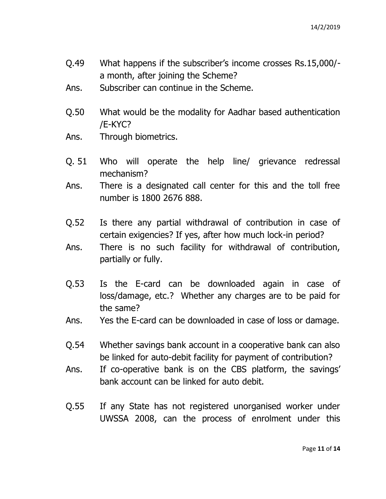- Q.49 What happens if the subscriber's income crosses Rs.15,000/ a month, after joining the Scheme?
- Ans. Subscriber can continue in the Scheme.
- Q.50 What would be the modality for Aadhar based authentication /E-KYC?
- Ans. Through biometrics.
- Q. 51 Who will operate the help line/ grievance redressal mechanism?
- Ans. There is a designated call center for this and the toll free number is 1800 2676 888.
- Q.52 Is there any partial withdrawal of contribution in case of certain exigencies? If yes, after how much lock-in period?
- Ans. There is no such facility for withdrawal of contribution, partially or fully.
- Q.53 Is the E-card can be downloaded again in case of loss/damage, etc.? Whether any charges are to be paid for the same?
- Ans. Yes the E-card can be downloaded in case of loss or damage.
- Q.54 Whether savings bank account in a cooperative bank can also be linked for auto-debit facility for payment of contribution?
- Ans. If co-operative bank is on the CBS platform, the savings' bank account can be linked for auto debit.
- Q.55 If any State has not registered unorganised worker under UWSSA 2008, can the process of enrolment under this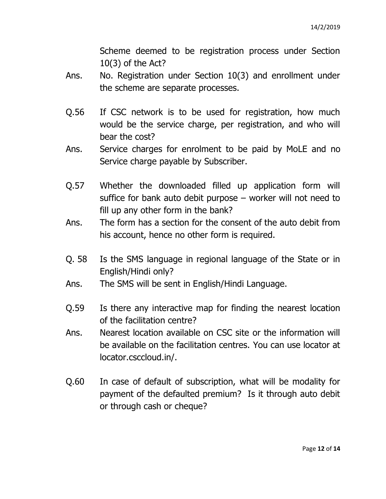Scheme deemed to be registration process under Section 10(3) of the Act?

- Ans. No. Registration under Section 10(3) and enrollment under the scheme are separate processes.
- Q.56 If CSC network is to be used for registration, how much would be the service charge, per registration, and who will bear the cost?
- Ans. Service charges for enrolment to be paid by MoLE and no Service charge payable by Subscriber.
- Q.57 Whether the downloaded filled up application form will suffice for bank auto debit purpose – worker will not need to fill up any other form in the bank?
- Ans. The form has a section for the consent of the auto debit from his account, hence no other form is required.
- Q. 58 Is the SMS language in regional language of the State or in English/Hindi only?
- Ans. The SMS will be sent in English/Hindi Language.
- Q.59 Is there any interactive map for finding the nearest location of the facilitation centre?
- Ans. Nearest location available on CSC site or the information will be available on the facilitation centres. You can use locator at locator.csccloud.in/.
- Q.60 In case of default of subscription, what will be modality for payment of the defaulted premium? Is it through auto debit or through cash or cheque?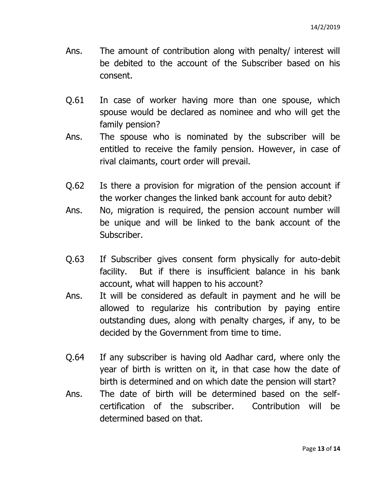- Ans. The amount of contribution along with penalty/ interest will be debited to the account of the Subscriber based on his consent.
- Q.61 In case of worker having more than one spouse, which spouse would be declared as nominee and who will get the family pension?
- Ans. The spouse who is nominated by the subscriber will be entitled to receive the family pension. However, in case of rival claimants, court order will prevail.
- Q.62 Is there a provision for migration of the pension account if the worker changes the linked bank account for auto debit?
- Ans. No, migration is required, the pension account number will be unique and will be linked to the bank account of the Subscriber.
- Q.63 If Subscriber gives consent form physically for auto-debit facility. But if there is insufficient balance in his bank account, what will happen to his account?
- Ans. It will be considered as default in payment and he will be allowed to regularize his contribution by paying entire outstanding dues, along with penalty charges, if any, to be decided by the Government from time to time.
- Q.64 If any subscriber is having old Aadhar card, where only the year of birth is written on it, in that case how the date of birth is determined and on which date the pension will start?
- Ans. The date of birth will be determined based on the selfcertification of the subscriber. Contribution will be determined based on that.